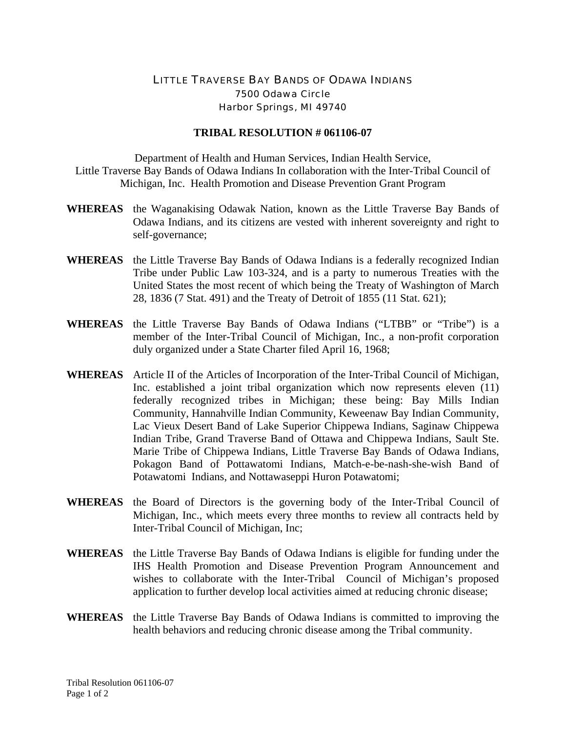## LITTLE TRAVERSE BAY BANDS OF ODAWA INDIANS 7500 Odawa Circle Harbor Springs, MI 49740

## **TRIBAL RESOLUTION # 061106-07**

Department of Health and Human Services, Indian Health Service, Little Traverse Bay Bands of Odawa Indians In collaboration with the Inter-Tribal Council of Michigan, Inc. Health Promotion and Disease Prevention Grant Program

- **WHEREAS** the Waganakising Odawak Nation, known as the Little Traverse Bay Bands of Odawa Indians, and its citizens are vested with inherent sovereignty and right to self-governance;
- **WHEREAS** the Little Traverse Bay Bands of Odawa Indians is a federally recognized Indian Tribe under Public Law 103-324, and is a party to numerous Treaties with the United States the most recent of which being the Treaty of Washington of March 28, 1836 (7 Stat. 491) and the Treaty of Detroit of 1855 (11 Stat. 621);
- **WHEREAS** the Little Traverse Bay Bands of Odawa Indians ("LTBB" or "Tribe") is a member of the Inter-Tribal Council of Michigan, Inc., a non-profit corporation duly organized under a State Charter filed April 16, 1968;
- **WHEREAS** Article II of the Articles of Incorporation of the Inter-Tribal Council of Michigan, Inc. established a joint tribal organization which now represents eleven (11) federally recognized tribes in Michigan; these being: Bay Mills Indian Community, Hannahville Indian Community, Keweenaw Bay Indian Community, Lac Vieux Desert Band of Lake Superior Chippewa Indians, Saginaw Chippewa Indian Tribe, Grand Traverse Band of Ottawa and Chippewa Indians, Sault Ste. Marie Tribe of Chippewa Indians, Little Traverse Bay Bands of Odawa Indians, Pokagon Band of Pottawatomi Indians, Match-e-be-nash-she-wish Band of Potawatomi Indians, and Nottawaseppi Huron Potawatomi;
- **WHEREAS** the Board of Directors is the governing body of the Inter-Tribal Council of Michigan, Inc., which meets every three months to review all contracts held by Inter-Tribal Council of Michigan, Inc;
- **WHEREAS** the Little Traverse Bay Bands of Odawa Indians is eligible for funding under the IHS Health Promotion and Disease Prevention Program Announcement and wishes to collaborate with the Inter-Tribal Council of Michigan's proposed application to further develop local activities aimed at reducing chronic disease;
- **WHEREAS** the Little Traverse Bay Bands of Odawa Indians is committed to improving the health behaviors and reducing chronic disease among the Tribal community.